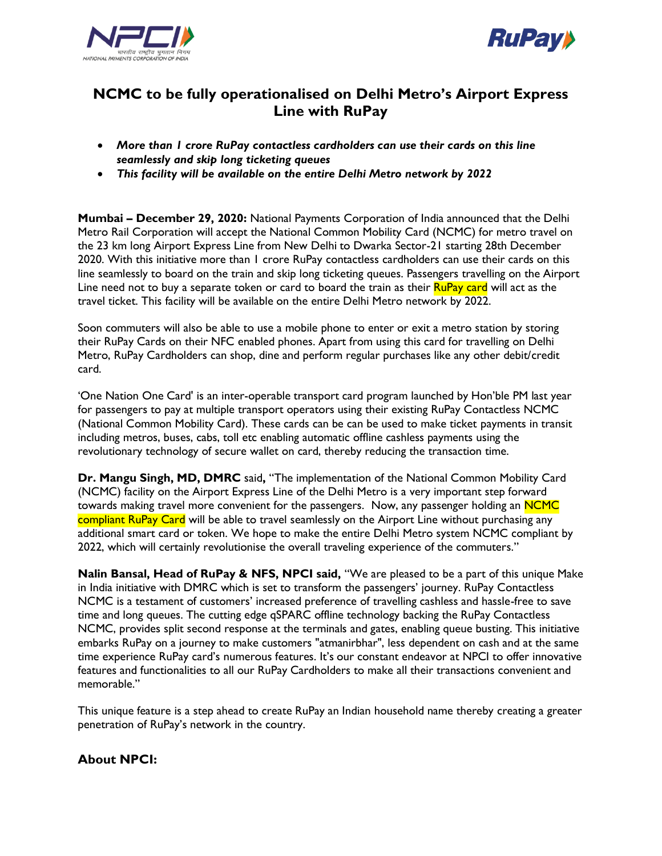



## **NCMC to be fully operationalised on Delhi Metro's Airport Express Line with RuPay**

- *More than 1 crore RuPay contactless cardholders can use their cards on this line seamlessly and skip long ticketing queues*
- *This facility will be available on the entire Delhi Metro network by 2022*

**Mumbai – December 29, 2020:** National Payments Corporation of India announced that the Delhi Metro Rail Corporation will accept the National Common Mobility Card (NCMC) for metro travel on the 23 km long Airport Express Line from New Delhi to Dwarka Sector-21 starting 28th December 2020. With this initiative more than 1 crore RuPay contactless cardholders can use their cards on this line seamlessly to board on the train and skip long ticketing queues. Passengers travelling on the Airport Line need not to buy a separate token or card to board the train as their **RuPay card** will act as the travel ticket. This facility will be available on the entire Delhi Metro network by 2022.

Soon commuters will also be able to use a mobile phone to enter or exit a metro station by storing their RuPay Cards on their NFC enabled phones. Apart from using this card for travelling on Delhi Metro, RuPay Cardholders can shop, dine and perform regular purchases like any other debit/credit card.

'One Nation One Card' is an inter-operable transport card program launched by Hon'ble PM last year for passengers to pay at multiple transport operators using their existing RuPay Contactless NCMC (National Common Mobility Card). These cards can be can be used to make ticket payments in transit including metros, buses, cabs, toll etc enabling automatic offline cashless payments using the revolutionary technology of secure wallet on card, thereby reducing the transaction time.

**Dr. Mangu Singh, MD, DMRC** said**,** "The implementation of the National Common Mobility Card (NCMC) facility on the Airport Express Line of the Delhi Metro is a very important step forward towards making travel more convenient for the passengers.Now, any passenger holding an NCMC compliant RuPay Card will be able to travel seamlessly on the Airport Line without purchasing any additional smart card or token. We hope to make the entire Delhi Metro system NCMC compliant by 2022, which will certainly revolutionise the overall traveling experience of the commuters."

**Nalin Bansal, Head of RuPay & NFS, NPCI said,** "We are pleased to be a part of this unique Make in India initiative with DMRC which is set to transform the passengers' journey. RuPay Contactless NCMC is a testament of customers' increased preference of travelling cashless and hassle-free to save time and long queues. The cutting edge qSPARC offline technology backing the RuPay Contactless NCMC, provides split second response at the terminals and gates, enabling queue busting. This initiative embarks RuPay on a journey to make customers "atmanirbhar", less dependent on cash and at the same time experience RuPay card's numerous features. It's our constant endeavor at NPCI to offer innovative features and functionalities to all our RuPay Cardholders to make all their transactions convenient and memorable."

This unique feature is a step ahead to create RuPay an Indian household name thereby creating a greater penetration of RuPay's network in the country.

## **About NPCI:**